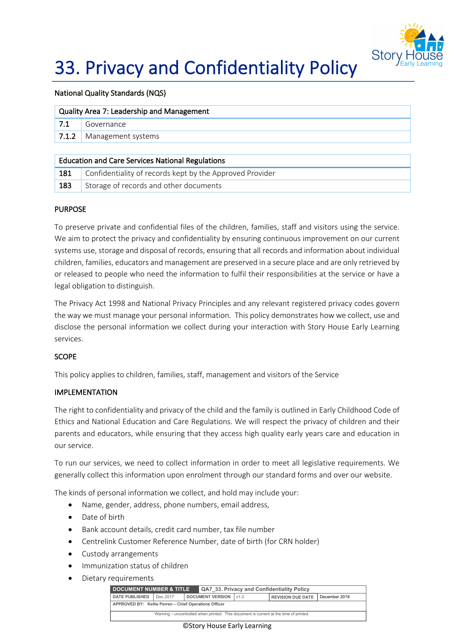

# 33. Privacy and Confidentiality Policy

### National Quality Standards (NQS)

| Quality Area 7: Leadership and Management               |                    |  |  |  |
|---------------------------------------------------------|--------------------|--|--|--|
| 7.1                                                     | Governance         |  |  |  |
| 1, 7.1.2                                                | Management systems |  |  |  |
|                                                         |                    |  |  |  |
| <b>Education and Care Services National Regulations</b> |                    |  |  |  |

|  |  | 181 Confidentiality of records kept by the Approved Provider |
|--|--|--------------------------------------------------------------|
|  |  |                                                              |

# 183 Storage of records and other documents

## PURPOSE

To preserve private and confidential files of the children, families, staff and visitors using the service. We aim to protect the privacy and confidentiality by ensuring continuous improvement on our current systems use, storage and disposal of records, ensuring that all records and information about individual children, families, educators and management are preserved in a secure place and are only retrieved by or released to people who need the information to fulfil their responsibilities at the service or have a legal obligation to distinguish.

The Privacy Act 1998 and National Privacy Principles and any relevant registered privacy codes govern the way we must manage your personal information. This policy demonstrates how we collect, use and disclose the personal information we collect during your interaction with Story House Early Learning services.

# **SCOPE**

This policy applies to children, families, staff, management and visitors of the Service

# IMPLEMENTATION

The right to confidentiality and privacy of the child and the family is outlined in Early Childhood Code of Ethics and National Education and Care Regulations. We will respect the privacy of children and their parents and educators, while ensuring that they access high quality early years care and education in our service.

To run our services, we need to collect information in order to meet all legislative requirements. We generally collect this information upon enrolment through our standard forms and over our website.

The kinds of personal information we collect, and hold may include your:

- Name, gender, address, phone numbers, email address,
- Date of birth
- Bank account details, credit card number, tax file number
- Centrelink Customer Reference Number, date of birth (for CRN holder)
- Custody arrangements
- Immunization status of children
- Dietary requirements

| <b>DOCUMENT NUMBER &amp; TITLE</b><br>QA7 33. Privacy and Confidentiality Policy      |          |                         |        |                          |               |  |
|---------------------------------------------------------------------------------------|----------|-------------------------|--------|--------------------------|---------------|--|
| <b>DATE PUBLISHED</b>                                                                 | Dec 2017 | <b>DOCUMENT VERSION</b> | 1 v1.0 | <b>REVISION DUE DATE</b> | December 2019 |  |
| APPROVED BY: Kellie Perren - Chief Operations Officer                                 |          |                         |        |                          |               |  |
| Warning – uncontrolled when printed. This document is current at the time of printed. |          |                         |        |                          |               |  |